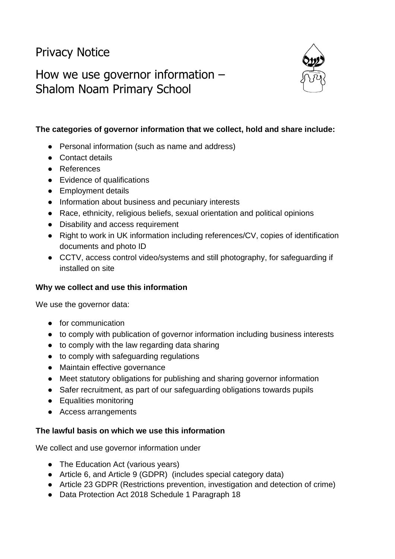# Privacy Notice

# How we use governor information – Shalom Noam Primary School



# **The categories of governor information that we collect, hold and share include:**

- Personal information (such as name and address)
- Contact details
- References
- Evidence of qualifications
- Employment details
- Information about business and pecuniary interests
- Race, ethnicity, religious beliefs, sexual orientation and political opinions
- Disability and access requirement
- Right to work in UK information including references/CV, copies of identification documents and photo ID
- CCTV, access control video/systems and still photography, for safeguarding if installed on site

#### **Why we collect and use this information**

We use the governor data:

- for communication
- to comply with publication of governor information including business interests
- to comply with the law regarding data sharing
- to comply with safeguarding regulations
- Maintain effective governance
- Meet statutory obligations for publishing and sharing governor information
- Safer recruitment, as part of our safeguarding obligations towards pupils
- Equalities monitoring
- Access arrangements

#### **The lawful basis on which we use this information**

We collect and use governor information under

- The Education Act (various years)
- Article 6, and Article 9 (GDPR) (includes special category data)
- Article 23 GDPR (Restrictions prevention, investigation and detection of crime)
- Data Protection Act 2018 Schedule 1 Paragraph 18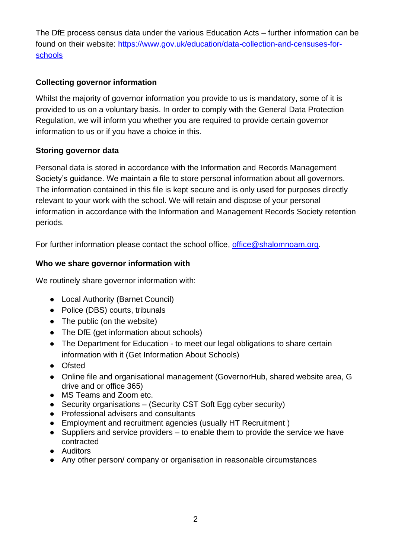The DfE process census data under the various Education Acts – further information can be found on their website: [https://www.gov.uk/education/data-collection-and-censuses-for](https://www.gov.uk/education/data-collection-and-censuses-for-schools)[schools](https://www.gov.uk/education/data-collection-and-censuses-for-schools)

# **Collecting governor information**

Whilst the majority of governor information you provide to us is mandatory, some of it is provided to us on a voluntary basis. In order to comply with the General Data Protection Regulation, we will inform you whether you are required to provide certain governor information to us or if you have a choice in this.

# **Storing governor data**

Personal data is stored in accordance with the Information and Records Management Society's guidance. We maintain a file to store personal information about all governors. The information contained in this file is kept secure and is only used for purposes directly relevant to your work with the school. We will retain and dispose of your personal information in accordance with the Information and Management Records Society retention periods.

For further information please contact the school office, [office@shalomnoam.org.](mailto:office@shalomnoam.org)

# **Who we share governor information with**

We routinely share governor information with:

- Local Authority (Barnet Council)
- Police (DBS) courts, tribunals
- The public (on the website)
- The DfE (get information about schools)
- The Department for Education to meet our legal obligations to share certain information with it (Get Information About Schools)
- Ofsted
- Online file and organisational management (GovernorHub, shared website area, G drive and or office 365)
- MS Teams and Zoom etc.
- Security organisations (Security CST Soft Egg cyber security)
- Professional advisers and consultants
- Employment and recruitment agencies (usually HT Recruitment )
- Suppliers and service providers to enable them to provide the service we have contracted
- Auditors
- Any other person/ company or organisation in reasonable circumstances